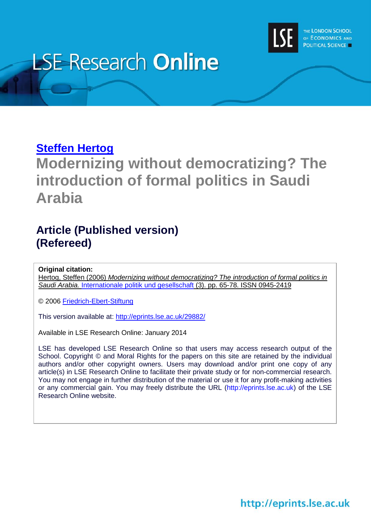

# **LSE Research Online**

# **[Steffen Hertog](http://www.lse.ac.uk/researchAndExpertise/Experts/profile.aspx?KeyValue=s.hertog@lse.ac.uk)**

**Modernizing without democratizing? The introduction of formal politics in Saudi Arabia**

# **Article (Published version) (Refereed)**

# **Original citation:**

Hertog, Steffen (2006) *Modernizing without democratizing? The introduction of formal politics in Saudi Arabia.* [Internationale politik und gesellschaft](http://www.ipg-journal.de/) (3). pp. 65-78. ISSN 0945-2419

© 2006 [Friedrich-Ebert-Stiftung](http://www.fes.de/)

This version available at:<http://eprints.lse.ac.uk/29882/>

Available in LSE Research Online: January 2014

LSE has developed LSE Research Online so that users may access research output of the School. Copyright © and Moral Rights for the papers on this site are retained by the individual authors and/or other copyright owners. Users may download and/or print one copy of any article(s) in LSE Research Online to facilitate their private study or for non-commercial research. You may not engage in further distribution of the material or use it for any profit-making activities or any commercial gain. You may freely distribute the URL (http://eprints.lse.ac.uk) of the LSE Research Online website.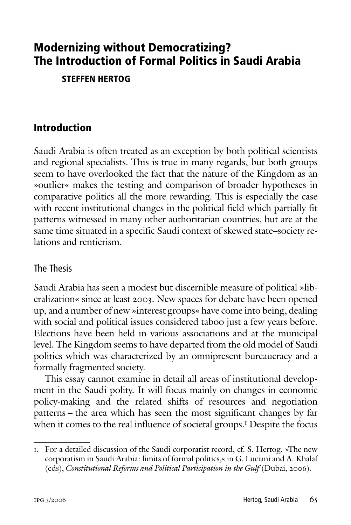# **Modernizing without Democratizing? The Introduction of Formal Politics in Saudi Arabia**

**STEFFEN HERTOG**

# **Introduction**

Saudi Arabia is often treated as an exception by both political scientists and regional specialists. This is true in many regards, but both groups seem to have overlooked the fact that the nature of the Kingdom as an »outlier« makes the testing and comparison of broader hypotheses in comparative politics all the more rewarding. This is especially the case with recent institutional changes in the political field which partially fit patterns witnessed in many other authoritarian countries, but are at the same time situated in a specific Saudi context of skewed state–society relations and rentierism.

#### The Thesis

Saudi Arabia has seen a modest but discernible measure of political »liberalization« since at least 2003. New spaces for debate have been opened up, and a number of new »interest groups« have come into being, dealing with social and political issues considered taboo just a few years before. Elections have been held in various associations and at the municipal level. The Kingdom seems to have departed from the old model of Saudi politics which was characterized by an omnipresent bureaucracy and a formally fragmented society.

This essay cannot examine in detail all areas of institutional development in the Saudi polity. It will focus mainly on changes in economic policy-making and the related shifts of resources and negotiation patterns – the area which has seen the most significant changes by far when it comes to the real influence of societal groups.<sup>1</sup> Despite the focus

<sup>1.</sup> For a detailed discussion of the Saudi corporatist record, cf. S. Hertog, »The new corporatism in Saudi Arabia: limits of formal politics,« in G. Luciani and A. Khalaf (eds), *Constitutional Reforms and Political Participation in the Gulf* (Dubai, 2006).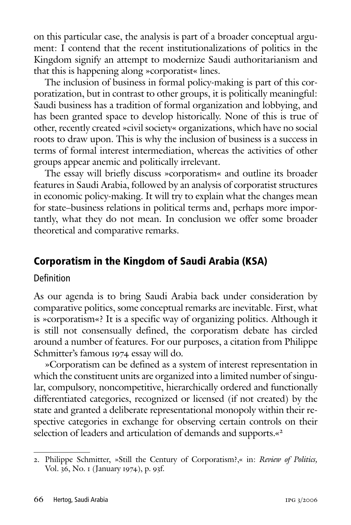on this particular case, the analysis is part of a broader conceptual argument: I contend that the recent institutionalizations of politics in the Kingdom signify an attempt to modernize Saudi authoritarianism and that this is happening along »corporatist« lines.

The inclusion of business in formal policy-making is part of this corporatization, but in contrast to other groups, it is politically meaningful: Saudi business has a tradition of formal organization and lobbying, and has been granted space to develop historically. None of this is true of other, recently created »civil society« organizations, which have no social roots to draw upon. This is why the inclusion of business is a success in terms of formal interest intermediation, whereas the activities of other groups appear anemic and politically irrelevant.

The essay will briefly discuss »corporatism« and outline its broader features in Saudi Arabia, followed by an analysis of corporatist structures in economic policy-making. It will try to explain what the changes mean for state–business relations in political terms and, perhaps more importantly, what they do not mean. In conclusion we offer some broader theoretical and comparative remarks.

# **Corporatism in the Kingdom of Saudi Arabia (KSA)**

#### Definition

As our agenda is to bring Saudi Arabia back under consideration by comparative politics, some conceptual remarks are inevitable. First, what is »corporatism«? It is a specific way of organizing politics. Although it is still not consensually defined, the corporatism debate has circled around a number of features. For our purposes, a citation from Philippe Schmitter's famous 1974 essay will do.

»Corporatism can be defined as a system of interest representation in which the constituent units are organized into a limited number of singular, compulsory, noncompetitive, hierarchically ordered and functionally differentiated categories, recognized or licensed (if not created) by the state and granted a deliberate representational monopoly within their respective categories in exchange for observing certain controls on their selection of leaders and articulation of demands and supports.«<sup>2</sup>

<sup>2.</sup> Philippe Schmitter, »Still the Century of Corporatism?,« in: *Review of Politics,* Vol. 36, No. 1 (January 1974), p. 93f.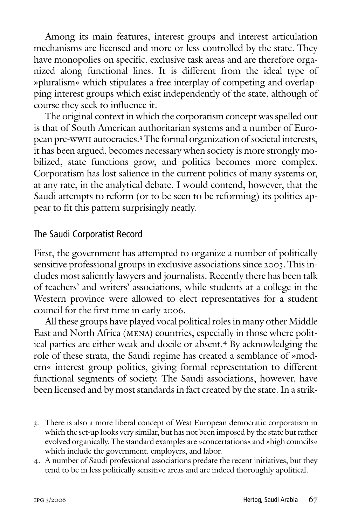Among its main features, interest groups and interest articulation mechanisms are licensed and more or less controlled by the state. They have monopolies on specific, exclusive task areas and are therefore organized along functional lines. It is different from the ideal type of »pluralism« which stipulates a free interplay of competing and overlapping interest groups which exist independently of the state, although of course they seek to influence it.

The original context in which the corporatism concept was spelled out is that of South American authoritarian systems and a number of European pre-wwii autocracies.<sup>3</sup> The formal organization of societal interests, it has been argued, becomes necessary when society is more strongly mobilized, state functions grow, and politics becomes more complex. Corporatism has lost salience in the current politics of many systems or, at any rate, in the analytical debate. I would contend, however, that the Saudi attempts to reform (or to be seen to be reforming) its politics appear to fit this pattern surprisingly neatly.

#### The Saudi Corporatist Record

First, the government has attempted to organize a number of politically sensitive professional groups in exclusive associations since 2003. This includes most saliently lawyers and journalists. Recently there has been talk of teachers' and writers' associations, while students at a college in the Western province were allowed to elect representatives for a student council for the first time in early 2006.

All these groups have played vocal political roles in many other Middle East and North Africa (mena) countries, especially in those where political parties are either weak and docile or absent.<sup>4</sup> By acknowledging the role of these strata, the Saudi regime has created a semblance of »modern« interest group politics, giving formal representation to different functional segments of society. The Saudi associations, however, have been licensed and by most standards in fact created by the state. In a strik-

<sup>3.</sup> There is also a more liberal concept of West European democratic corporatism in which the set-up looks very similar, but has not been imposed by the state but rather evolved organically. The standard examples are »concertations« and »high councils« which include the government, employers, and labor.

<sup>4.</sup> A number of Saudi professional associations predate the recent initiatives, but they tend to be in less politically sensitive areas and are indeed thoroughly apolitical.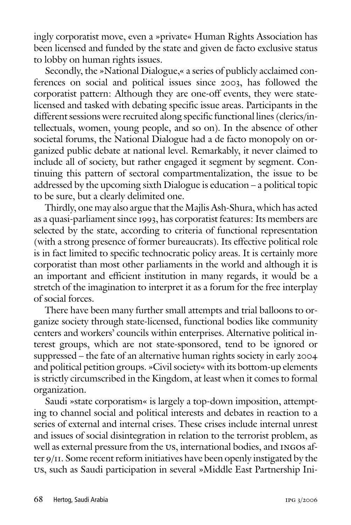ingly corporatist move, even a »private« Human Rights Association has been licensed and funded by the state and given de facto exclusive status to lobby on human rights issues.

Secondly, the »National Dialogue,« a series of publicly acclaimed conferences on social and political issues since 2003, has followed the corporatist pattern: Although they are one-off events, they were statelicensed and tasked with debating specific issue areas. Participants in the different sessions were recruited along specific functional lines (clerics/intellectuals, women, young people, and so on). In the absence of other societal forums, the National Dialogue had a de facto monopoly on organized public debate at national level. Remarkably, it never claimed to include all of society, but rather engaged it segment by segment. Continuing this pattern of sectoral compartmentalization, the issue to be addressed by the upcoming sixth Dialogue is education – a political topic to be sure, but a clearly delimited one.

Thirdly, one may also argue that the Majlis Ash-Shura, which has acted as a quasi-parliament since 1993, has corporatist features: Its members are selected by the state, according to criteria of functional representation (with a strong presence of former bureaucrats). Its effective political role is in fact limited to specific technocratic policy areas. It is certainly more corporatist than most other parliaments in the world and although it is an important and efficient institution in many regards, it would be a stretch of the imagination to interpret it as a forum for the free interplay of social forces.

There have been many further small attempts and trial balloons to organize society through state-licensed, functional bodies like community centers and workers' councils within enterprises. Alternative political interest groups, which are not state-sponsored, tend to be ignored or suppressed – the fate of an alternative human rights society in early 2004 and political petition groups. »Civil society« with its bottom-up elements is strictly circumscribed in the Kingdom, at least when it comes to formal organization.

Saudi »state corporatism« is largely a top-down imposition, attempting to channel social and political interests and debates in reaction to a series of external and internal crises. These crises include internal unrest and issues of social disintegration in relation to the terrorist problem, as well as external pressure from the us, international bodies, and ingos after 9/11. Some recent reform initiatives have been openly instigated by the us, such as Saudi participation in several »Middle East Partnership Ini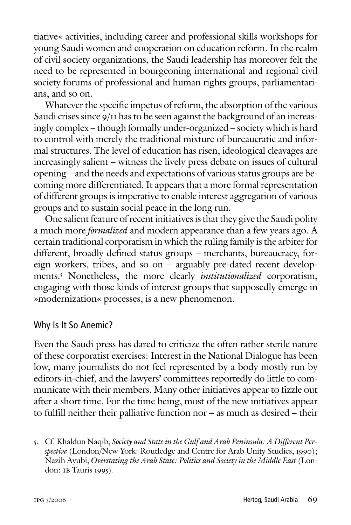tiative« activities, including career and professional skills workshops for young Saudi women and cooperation on education reform. In the realm of civil society organizations, the Saudi leadership has moreover felt the need to be represented in bourgeoning international and regional civil society forums of professional and human rights groups, parliamentarians, and so on.

Whatever the specific impetus of reform, the absorption of the various Saudi crises since  $9/11$  has to be seen against the background of an increasingly complex – though formally under-organized – society which is hard to control with merely the traditional mixture of bureaucratic and informal structures. The level of education has risen, ideological cleavages are increasingly salient – witness the lively press debate on issues of cultural opening – and the needs and expectations of various status groups are becoming more differentiated. It appears that a more formal representation of different groups is imperative to enable interest aggregation of various groups and to sustain social peace in the long run.

One salient feature of recent initiatives is that they give the Saudi polity a much more *formalized* and modern appearance than a few years ago. A certain traditional corporatism in which the ruling family is the arbiter for different, broadly defined status groups – merchants, bureaucracy, foreign workers, tribes, and so on – arguably pre-dated recent developments.5 Nonetheless, the more clearly *institutionalized* corporatism, engaging with those kinds of interest groups that supposedly emerge in »modernization« processes, is a new phenomenon.

#### Why Is It So Anemic?

Even the Saudi press has dared to criticize the often rather sterile nature of these corporatist exercises: Interest in the National Dialogue has been low, many journalists do not feel represented by a body mostly run by editors-in-chief, and the lawyers' committees reportedly do little to communicate with their members. Many other initiatives appear to fizzle out after a short time. For the time being, most of the new initiatives appear to fulfill neither their palliative function nor – as much as desired – their

<sup>5.</sup> Cf. Khaldun Naqib, *Society and State in the Gulf and Arab Peninsula: A Different Perspective* (London/New York: Routledge and Centre for Arab Unity Studies, 1990); Nazih Ayubi, *Overstating the Arab State: Politics and Society in the Middle East* (London: IB Tauris 1995).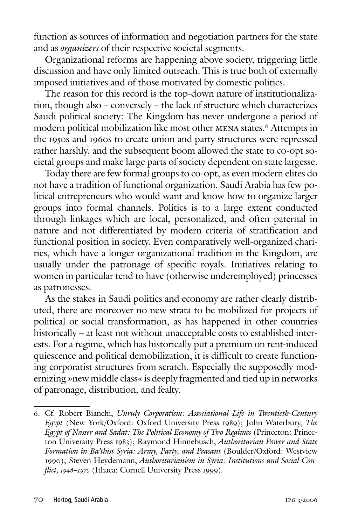function as sources of information and negotiation partners for the state and as *organizers* of their respective societal segments.

Organizational reforms are happening above society, triggering little discussion and have only limited outreach. This is true both of externally imposed initiatives and of those motivated by domestic politics.

The reason for this record is the top-down nature of institutionalization, though also – conversely – the lack of structure which characterizes Saudi political society: The Kingdom has never undergone a period of modern political mobilization like most other MENA states.<sup>6</sup> Attempts in the 1950s and 1960s to create union and party structures were repressed rather harshly, and the subsequent boom allowed the state to co-opt societal groups and make large parts of society dependent on state largesse.

Today there are few formal groups to co-opt, as even modern elites do not have a tradition of functional organization. Saudi Arabia has few political entrepreneurs who would want and know how to organize larger groups into formal channels. Politics is to a large extent conducted through linkages which are local, personalized, and often paternal in nature and not differentiated by modern criteria of stratification and functional position in society. Even comparatively well-organized charities, which have a longer organizational tradition in the Kingdom, are usually under the patronage of specific royals. Initiatives relating to women in particular tend to have (otherwise underemployed) princesses as patronesses.

As the stakes in Saudi politics and economy are rather clearly distributed, there are moreover no new strata to be mobilized for projects of political or social transformation, as has happened in other countries historically – at least not without unacceptable costs to established interests. For a regime, which has historically put a premium on rent-induced quiescence and political demobilization, it is difficult to create functioning corporatist structures from scratch. Especially the supposedly modernizing »new middle class« is deeply fragmented and tied up in networks of patronage, distribution, and fealty.

<sup>6.</sup> Cf. Robert Bianchi, *Unruly Corporatism: Associational Life in Twentieth-Century Egypt* (New York/Oxford: Oxford University Press 1989); John Waterbury, *The Egypt of Nasser and Sadat: The Political Economy of Two Regimes* (Princeton: Princeton University Press 1983); Raymond Hinnebusch, *Authoritarian Power and State Formation in Ba'thist Syria: Army, Party, and Peasant* (Boulder/Oxford: Westview 1990); Steven Heydemann, *Authoritarianism in Syria: Institutions and Social Conflict, 1946–1970* (Ithaca: Cornell University Press 1999).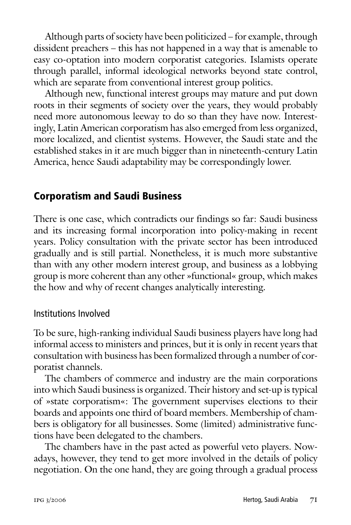Although parts of society have been politicized – for example, through dissident preachers – this has not happened in a way that is amenable to easy co-optation into modern corporatist categories. Islamists operate through parallel, informal ideological networks beyond state control, which are separate from conventional interest group politics.

Although new, functional interest groups may mature and put down roots in their segments of society over the years, they would probably need more autonomous leeway to do so than they have now. Interestingly, Latin American corporatism has also emerged from less organized, more localized, and clientist systems. However, the Saudi state and the established stakes in it are much bigger than in nineteenth-century Latin America, hence Saudi adaptability may be correspondingly lower.

# **Corporatism and Saudi Business**

There is one case, which contradicts our findings so far: Saudi business and its increasing formal incorporation into policy-making in recent years. Policy consultation with the private sector has been introduced gradually and is still partial. Nonetheless, it is much more substantive than with any other modern interest group, and business as a lobbying group is more coherent than any other »functional« group, which makes the how and why of recent changes analytically interesting.

#### Institutions Involved

To be sure, high-ranking individual Saudi business players have long had informal access to ministers and princes, but it is only in recent years that consultation with business has been formalized through a number of corporatist channels.

The chambers of commerce and industry are the main corporations into which Saudi business is organized. Their history and set-up is typical of »state corporatism«: The government supervises elections to their boards and appoints one third of board members. Membership of chambers is obligatory for all businesses. Some (limited) administrative functions have been delegated to the chambers.

The chambers have in the past acted as powerful veto players. Nowadays, however, they tend to get more involved in the details of policy negotiation. On the one hand, they are going through a gradual process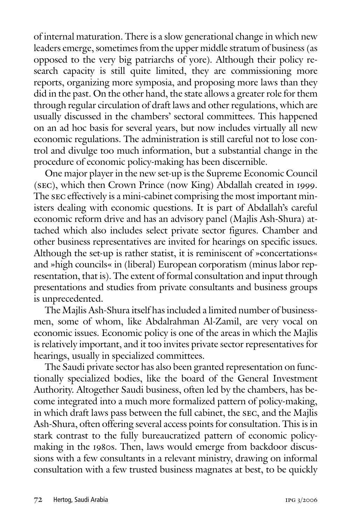of internal maturation. There is a slow generational change in which new leaders emerge, sometimes from the upper middle stratum of business (as opposed to the very big patriarchs of yore). Although their policy research capacity is still quite limited, they are commissioning more reports, organizing more symposia, and proposing more laws than they did in the past. On the other hand, the state allows a greater role for them through regular circulation of draft laws and other regulations, which are usually discussed in the chambers' sectoral committees. This happened on an ad hoc basis for several years, but now includes virtually all new economic regulations. The administration is still careful not to lose control and divulge too much information, but a substantial change in the procedure of economic policy-making has been discernible.

One major player in the new set-up is the Supreme Economic Council (sec), which then Crown Prince (now King) Abdallah created in 1999. The sec effectively is a mini-cabinet comprising the most important ministers dealing with economic questions. It is part of Abdallah's careful economic reform drive and has an advisory panel (Majlis Ash-Shura) attached which also includes select private sector figures. Chamber and other business representatives are invited for hearings on specific issues. Although the set-up is rather statist, it is reminiscent of »concertations« and »high councils« in (liberal) European corporatism (minus labor representation, that is). The extent of formal consultation and input through presentations and studies from private consultants and business groups is unprecedented.

The Majlis Ash-Shura itself has included a limited number of businessmen, some of whom, like Abdalrahman Al-Zamil, are very vocal on economic issues. Economic policy is one of the areas in which the Majlis is relatively important, and it too invites private sector representatives for hearings, usually in specialized committees.

The Saudi private sector has also been granted representation on functionally specialized bodies, like the board of the General Investment Authority. Altogether Saudi business, often led by the chambers, has become integrated into a much more formalized pattern of policy-making, in which draft laws pass between the full cabinet, the sec, and the Majlis Ash-Shura, often offering several access points for consultation. This is in stark contrast to the fully bureaucratized pattern of economic policymaking in the 1980s. Then, laws would emerge from backdoor discussions with a few consultants in a relevant ministry, drawing on informal consultation with a few trusted business magnates at best, to be quickly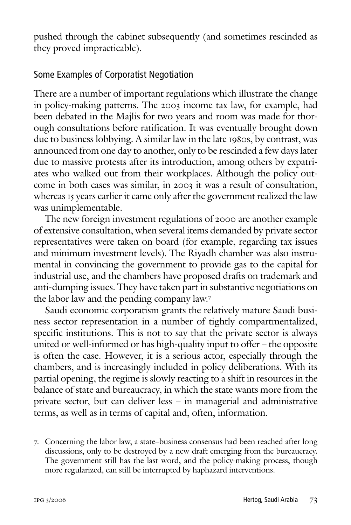pushed through the cabinet subsequently (and sometimes rescinded as they proved impracticable).

#### Some Examples of Corporatist Negotiation

There are a number of important regulations which illustrate the change in policy-making patterns. The 2003 income tax law, for example, had been debated in the Majlis for two years and room was made for thorough consultations before ratification. It was eventually brought down due to business lobbying. A similar law in the late 1980s, by contrast, was announced from one day to another, only to be rescinded a few days later due to massive protests after its introduction, among others by expatriates who walked out from their workplaces. Although the policy outcome in both cases was similar, in 2003 it was a result of consultation, whereas 15 years earlier it came only after the government realized the law was unimplementable.

The new foreign investment regulations of 2000 are another example of extensive consultation, when several items demanded by private sector representatives were taken on board (for example, regarding tax issues and minimum investment levels). The Riyadh chamber was also instrumental in convincing the government to provide gas to the capital for industrial use, and the chambers have proposed drafts on trademark and anti-dumping issues. They have taken part in substantive negotiations on the labor law and the pending company law.7

Saudi economic corporatism grants the relatively mature Saudi business sector representation in a number of tightly compartmentalized, specific institutions. This is not to say that the private sector is always united or well-informed or has high-quality input to offer – the opposite is often the case. However, it is a serious actor, especially through the chambers, and is increasingly included in policy deliberations. With its partial opening, the regime is slowly reacting to a shift in resources in the balance of state and bureaucracy, in which the state wants more from the private sector, but can deliver less – in managerial and administrative terms, as well as in terms of capital and, often, information.

<sup>7.</sup> Concerning the labor law, a state–business consensus had been reached after long discussions, only to be destroyed by a new draft emerging from the bureaucracy. The government still has the last word, and the policy-making process, though more regularized, can still be interrupted by haphazard interventions.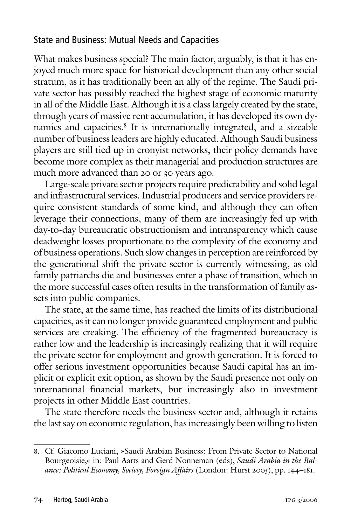#### State and Business: Mutual Needs and Capacities

What makes business special? The main factor, arguably, is that it has enjoyed much more space for historical development than any other social stratum, as it has traditionally been an ally of the regime. The Saudi private sector has possibly reached the highest stage of economic maturity in all of the Middle East. Although it is a class largely created by the state, through years of massive rent accumulation, it has developed its own dynamics and capacities.8 It is internationally integrated, and a sizeable number of business leaders are highly educated. Although Saudi business players are still tied up in cronyist networks, their policy demands have become more complex as their managerial and production structures are much more advanced than 20 or 30 years ago.

Large-scale private sector projects require predictability and solid legal and infrastructural services. Industrial producers and service providers require consistent standards of some kind, and although they can often leverage their connections, many of them are increasingly fed up with day-to-day bureaucratic obstructionism and intransparency which cause deadweight losses proportionate to the complexity of the economy and of business operations. Such slow changes in perception are reinforced by the generational shift the private sector is currently witnessing, as old family patriarchs die and businesses enter a phase of transition, which in the more successful cases often results in the transformation of family assets into public companies.

The state, at the same time, has reached the limits of its distributional capacities, as it can no longer provide guaranteed employment and public services are creaking. The efficiency of the fragmented bureaucracy is rather low and the leadership is increasingly realizing that it will require the private sector for employment and growth generation. It is forced to offer serious investment opportunities because Saudi capital has an implicit or explicit exit option, as shown by the Saudi presence not only on international financial markets, but increasingly also in investment projects in other Middle East countries.

The state therefore needs the business sector and, although it retains the last say on economic regulation, has increasingly been willing to listen

<sup>8.</sup> Cf. Giacomo Luciani, »Saudi Arabian Business: From Private Sector to National Bourgeoisie,« in: Paul Aarts and Gerd Nonneman (eds), *Saudi Arabia in the Balance: Political Economy, Society, Foreign Affairs* (London: Hurst 2005), pp. 144–181.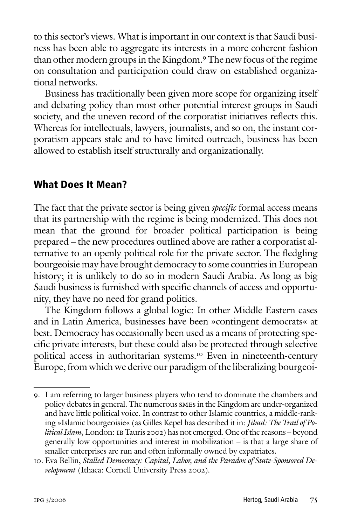to this sector's views. What is important in our context is that Saudi business has been able to aggregate its interests in a more coherent fashion than other modern groups in the Kingdom.9 The new focus of the regime on consultation and participation could draw on established organizational networks.

Business has traditionally been given more scope for organizing itself and debating policy than most other potential interest groups in Saudi society, and the uneven record of the corporatist initiatives reflects this. Whereas for intellectuals, lawyers, journalists, and so on, the instant corporatism appears stale and to have limited outreach, business has been allowed to establish itself structurally and organizationally.

## **What Does It Mean?**

The fact that the private sector is being given *specific* formal access means that its partnership with the regime is being modernized. This does not mean that the ground for broader political participation is being prepared – the new procedures outlined above are rather a corporatist alternative to an openly political role for the private sector. The fledgling bourgeoisie may have brought democracy to some countries in European history; it is unlikely to do so in modern Saudi Arabia. As long as big Saudi business is furnished with specific channels of access and opportunity, they have no need for grand politics.

The Kingdom follows a global logic: In other Middle Eastern cases and in Latin America, businesses have been »contingent democrats« at best. Democracy has occasionally been used as a means of protecting specific private interests, but these could also be protected through selective political access in authoritarian systems.10 Even in nineteenth-century Europe, from which we derive our paradigm of the liberalizing bourgeoi-

<sup>9.</sup> I am referring to larger business players who tend to dominate the chambers and policy debates in general. The numerous smes in the Kingdom are under-organized and have little political voice. In contrast to other Islamic countries, a middle-ranking »Islamic bourgeoisie« (as Gilles Kepel has described it in: *Jihad: The Trail of Po*litical Islam, London: IB Tauris 2002) has not emerged. One of the reasons - beyond generally low opportunities and interest in mobilization – is that a large share of smaller enterprises are run and often informally owned by expatriates.

<sup>10.</sup> Eva Bellin, *Stalled Democracy: Capital, Labor, and the Paradox of State-Sponsored Development* (Ithaca: Cornell University Press 2002).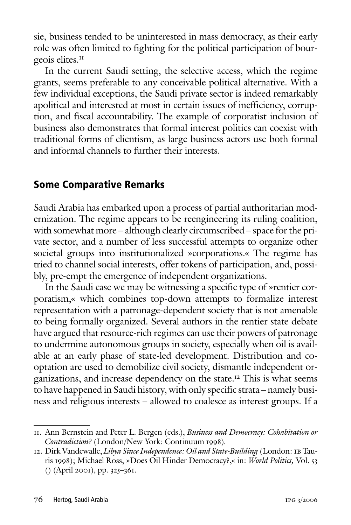sie, business tended to be uninterested in mass democracy, as their early role was often limited to fighting for the political participation of bourgeois elites.<sup>11</sup>

In the current Saudi setting, the selective access, which the regime grants, seems preferable to any conceivable political alternative. With a few individual exceptions, the Saudi private sector is indeed remarkably apolitical and interested at most in certain issues of inefficiency, corruption, and fiscal accountability. The example of corporatist inclusion of business also demonstrates that formal interest politics can coexist with traditional forms of clientism, as large business actors use both formal and informal channels to further their interests.

### **Some Comparative Remarks**

Saudi Arabia has embarked upon a process of partial authoritarian modernization. The regime appears to be reengineering its ruling coalition, with somewhat more – although clearly circumscribed – space for the private sector, and a number of less successful attempts to organize other societal groups into institutionalized »corporations.« The regime has tried to channel social interests, offer tokens of participation, and, possibly, pre-empt the emergence of independent organizations.

In the Saudi case we may be witnessing a specific type of »rentier corporatism,« which combines top-down attempts to formalize interest representation with a patronage-dependent society that is not amenable to being formally organized. Several authors in the rentier state debate have argued that resource-rich regimes can use their powers of patronage to undermine autonomous groups in society, especially when oil is available at an early phase of state-led development. Distribution and cooptation are used to demobilize civil society, dismantle independent organizations, and increase dependency on the state.12 This is what seems to have happened in Saudi history, with only specific strata – namely business and religious interests – allowed to coalesce as interest groups. If a

<sup>11.</sup> Ann Bernstein and Peter L. Bergen (eds.), *Business and Democracy: Cohabitation or Contradiction?* (London/New York: Continuum 1998).

<sup>12.</sup> Dirk Vandewalle, *Libya Since Independence: Oil and State-Building* (London: ib Tauris 1998); Michael Ross, »Does Oil Hinder Democracy?,« in: *World Politics,* Vol. 53 () (April 2001), pp. 325–361.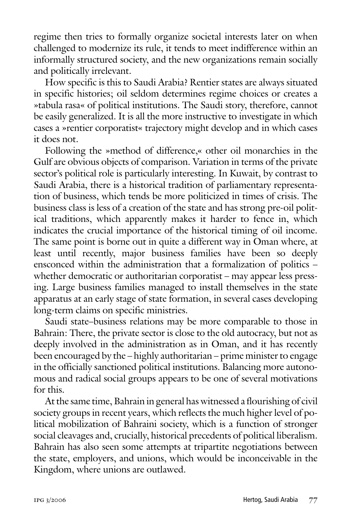regime then tries to formally organize societal interests later on when challenged to modernize its rule, it tends to meet indifference within an informally structured society, and the new organizations remain socially and politically irrelevant.

How specific is this to Saudi Arabia? Rentier states are always situated in specific histories; oil seldom determines regime choices or creates a »tabula rasa« of political institutions. The Saudi story, therefore, cannot be easily generalized. It is all the more instructive to investigate in which cases a »rentier corporatist« trajectory might develop and in which cases it does not.

Following the »method of difference,« other oil monarchies in the Gulf are obvious objects of comparison. Variation in terms of the private sector's political role is particularly interesting. In Kuwait, by contrast to Saudi Arabia, there is a historical tradition of parliamentary representation of business, which tends be more politicized in times of crisis. The business class is less of a creation of the state and has strong pre-oil political traditions, which apparently makes it harder to fence in, which indicates the crucial importance of the historical timing of oil income. The same point is borne out in quite a different way in Oman where, at least until recently, major business families have been so deeply ensconced within the administration that a formalization of politics – whether democratic or authoritarian corporatist – may appear less pressing. Large business families managed to install themselves in the state apparatus at an early stage of state formation, in several cases developing long-term claims on specific ministries.

Saudi state–business relations may be more comparable to those in Bahrain: There, the private sector is close to the old autocracy, but not as deeply involved in the administration as in Oman, and it has recently been encouraged by the – highly authoritarian – prime minister to engage in the officially sanctioned political institutions. Balancing more autonomous and radical social groups appears to be one of several motivations for this.

At the same time, Bahrain in general has witnessed a flourishing of civil society groups in recent years, which reflects the much higher level of political mobilization of Bahraini society, which is a function of stronger social cleavages and, crucially, historical precedents of political liberalism. Bahrain has also seen some attempts at tripartite negotiations between the state, employers, and unions, which would be inconceivable in the Kingdom, where unions are outlawed.